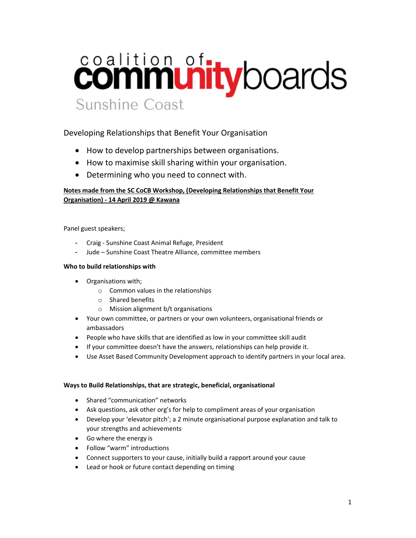# coalition of the boards Sunshine Coast

# Developing Relationships that Benefit Your Organisation

- How to develop partnerships between organisations.
- How to maximise skill sharing within your organisation.
- Determining who you need to connect with.

## Notes made from the SC CoCB Workshop, (Developing Relationships that Benefit Your Organisation) - 14 April 2019 @ Kawana

Panel guest speakers;

- Craig Sunshine Coast Animal Refuge, President
- Jude Sunshine Coast Theatre Alliance, committee members

#### Who to build relationships with

- Organisations with;
	- o Common values in the relationships
	- o Shared benefits
	- o Mission alignment b/t organisations
- Your own committee, or partners or your own volunteers, organisational friends or ambassadors
- People who have skills that are identified as low in your committee skill audit
- If your committee doesn't have the answers, relationships can help provide it.
- Use Asset Based Community Development approach to identify partners in your local area.

#### Ways to Build Relationships, that are strategic, beneficial, organisational

- Shared "communication" networks
- Ask questions, ask other org's for help to compliment areas of your organisation
- Develop your 'elevator pitch'; a 2 minute organisational purpose explanation and talk to your strengths and achievements
- Go where the energy is
- Follow "warm" introductions
- Connect supporters to your cause, initially build a rapport around your cause
- Lead or hook or future contact depending on timing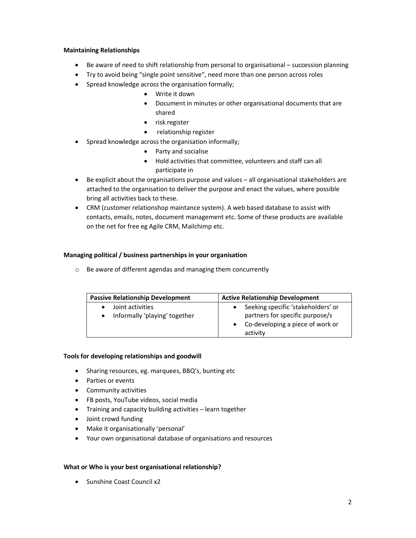#### Maintaining Relationships

- Be aware of need to shift relationship from personal to organisational succession planning
- Try to avoid being "single point sensitive", need more than one person across roles
- Spread knowledge across the organisation formally;
	- Write it down
	- Document in minutes or other organisational documents that are shared
	- risk register
	- relationship register
- Spread knowledge across the organisation informally;
	- Party and socialise
	- Hold activities that committee, volunteers and staff can all participate in
- Be explicit about the organisations purpose and values all organisational stakeholders are attached to the organisation to deliver the purpose and enact the values, where possible bring all activities back to these.
- CRM (customer relationshop maintance system). A web based database to assist with contacts, emails, notes, document management etc. Some of these products are available on the net for free eg Agile CRM, Mailchimp etc.

## Managing political / business partnerships in your organisation

o Be aware of different agendas and managing them concurrently

| <b>Passive Relationship Development</b>           | <b>Active Relationship Development</b>                                                                                             |
|---------------------------------------------------|------------------------------------------------------------------------------------------------------------------------------------|
| Joint activities<br>Informally 'playing' together | Seeking specific 'stakeholders' or<br>$\bullet$<br>partners for specific purpose/s<br>Co-developing a piece of work or<br>activity |

#### Tools for developing relationships and goodwill

- Sharing resources, eg. marquees, BBQ's, bunting etc
- Parties or events
- Community activities
- FB posts, YouTube videos, social media
- Training and capacity building activities learn together
- Joint crowd funding
- Make it organisationally 'personal'
- Your own organisational database of organisations and resources

#### What or Who is your best organisational relationship?

• Sunshine Coast Council x2